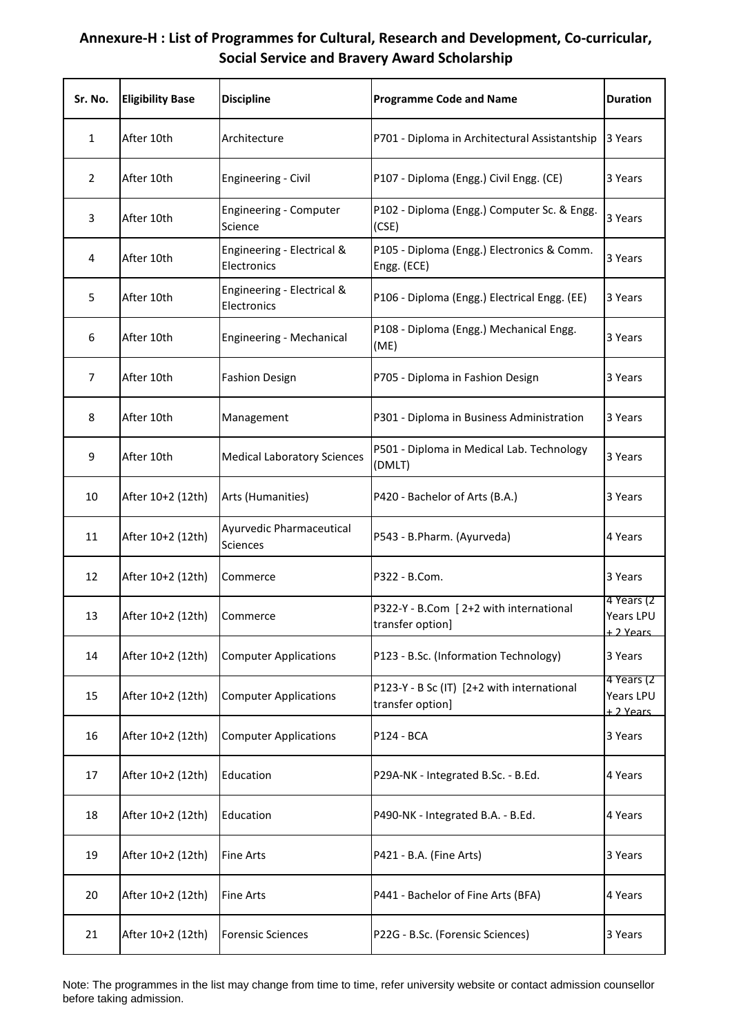| Sr. No.        | <b>Eligibility Base</b> | <b>Discipline</b>                         | <b>Programme Code and Name</b>                                 | <b>Duration</b>                             |
|----------------|-------------------------|-------------------------------------------|----------------------------------------------------------------|---------------------------------------------|
| 1              | After 10th              | Architecture                              | P701 - Diploma in Architectural Assistantship                  | 3 Years                                     |
| $\overline{2}$ | After 10th              | Engineering - Civil                       | P107 - Diploma (Engg.) Civil Engg. (CE)                        | 3 Years                                     |
| 3              | After 10th              | Engineering - Computer<br>Science         | P102 - Diploma (Engg.) Computer Sc. & Engg.<br>(CSE)           | 3 Years                                     |
| 4              | After 10th              | Engineering - Electrical &<br>Electronics | P105 - Diploma (Engg.) Electronics & Comm.<br>Engg. (ECE)      | 3 Years                                     |
| 5              | After 10th              | Engineering - Electrical &<br>Electronics | P106 - Diploma (Engg.) Electrical Engg. (EE)                   | 3 Years                                     |
| 6              | After 10th              | Engineering - Mechanical                  | P108 - Diploma (Engg.) Mechanical Engg.<br>(ME)                | 3 Years                                     |
| $\overline{7}$ | After 10th              | <b>Fashion Design</b>                     | P705 - Diploma in Fashion Design                               | 3 Years                                     |
| 8              | After 10th              | Management                                | P301 - Diploma in Business Administration                      | 3 Years                                     |
| 9              | After 10th              | <b>Medical Laboratory Sciences</b>        | P501 - Diploma in Medical Lab. Technology<br>(DMLT)            | 3 Years                                     |
| 10             | After 10+2 (12th)       | Arts (Humanities)                         | P420 - Bachelor of Arts (B.A.)                                 | 3 Years                                     |
| 11             | After 10+2 (12th)       | Ayurvedic Pharmaceutical<br>Sciences      | P543 - B.Pharm. (Ayurveda)                                     | 4 Years                                     |
| 12             | After 10+2 (12th)       | Commerce                                  | P322 - B.Com.                                                  | 3 Years                                     |
| 13             | After 10+2 (12th)       | Commerce                                  | P322-Y - B.Com [2+2 with international<br>transfer option]     | 4 Years (2<br>Years LPU<br><u>+ 2 Years</u> |
| 14             | After 10+2 (12th)       | <b>Computer Applications</b>              | P123 - B.Sc. (Information Technology)                          | 3 Years                                     |
| 15             | After 10+2 (12th)       | <b>Computer Applications</b>              | P123-Y - B Sc (IT) [2+2 with international<br>transfer option] | 4 Years (2<br>Years LPU<br>+ 2 Years        |
| 16             | After 10+2 (12th)       | <b>Computer Applications</b>              | P124 - BCA                                                     | 3 Years                                     |
| 17             | After 10+2 (12th)       | Education                                 | P29A-NK - Integrated B.Sc. - B.Ed.                             | 4 Years                                     |
| 18             | After 10+2 (12th)       | Education                                 | P490-NK - Integrated B.A. - B.Ed.                              | 4 Years                                     |
| 19             | After 10+2 (12th)       | <b>Fine Arts</b>                          | P421 - B.A. (Fine Arts)                                        | 3 Years                                     |
| 20             | After 10+2 (12th)       | <b>Fine Arts</b>                          | P441 - Bachelor of Fine Arts (BFA)                             | 4 Years                                     |
| 21             | After 10+2 (12th)       | <b>Forensic Sciences</b>                  | P22G - B.Sc. (Forensic Sciences)                               | 3 Years                                     |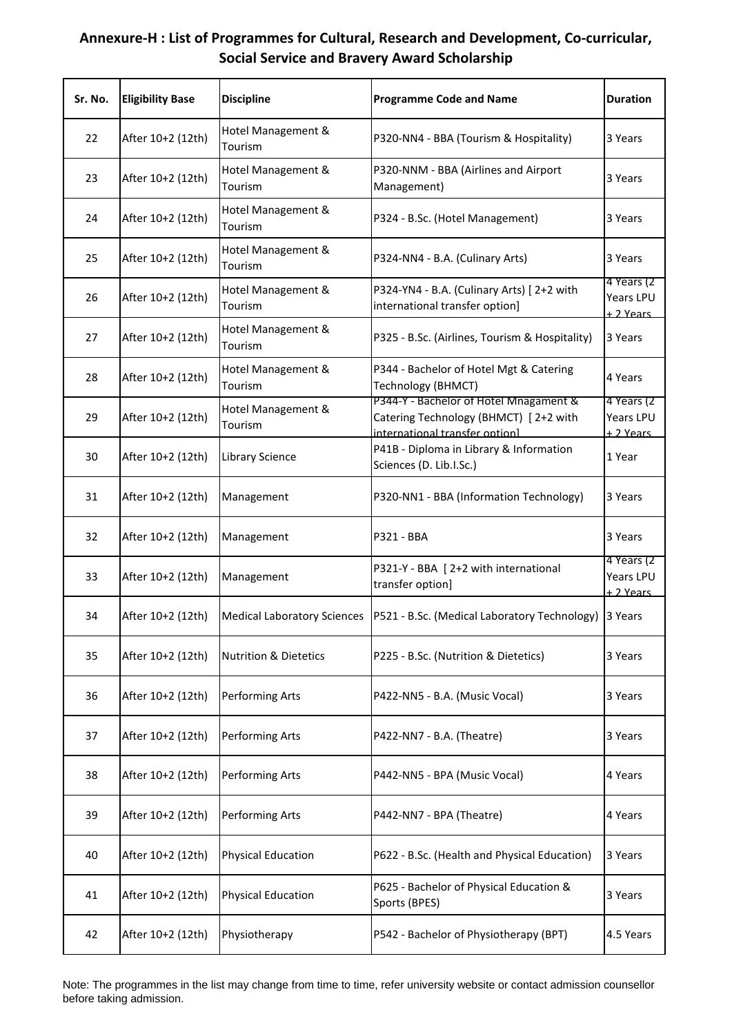| Sr. No. | <b>Eligibility Base</b> | <b>Discipline</b>                | <b>Programme Code and Name</b>                                                                                    | <b>Duration</b>                       |
|---------|-------------------------|----------------------------------|-------------------------------------------------------------------------------------------------------------------|---------------------------------------|
| 22      | After 10+2 (12th)       | Hotel Management &<br>Tourism    | P320-NN4 - BBA (Tourism & Hospitality)                                                                            | 3 Years                               |
| 23      | After 10+2 (12th)       | Hotel Management &<br>Tourism    | P320-NNM - BBA (Airlines and Airport<br>Management)                                                               | 3 Years                               |
| 24      | After 10+2 (12th)       | Hotel Management &<br>Tourism    | P324 - B.Sc. (Hotel Management)                                                                                   | 3 Years                               |
| 25      | After 10+2 (12th)       | Hotel Management &<br>Tourism    | P324-NN4 - B.A. (Culinary Arts)                                                                                   | 3 Years                               |
| 26      | After 10+2 (12th)       | Hotel Management &<br>Tourism    | P324-YN4 - B.A. (Culinary Arts) [2+2 with<br>international transfer option]                                       | 4 Years (2<br>Years LPU<br>+ 2 Years  |
| 27      | After 10+2 (12th)       | Hotel Management &<br>Tourism    | P325 - B.Sc. (Airlines, Tourism & Hospitality)                                                                    | 3 Years                               |
| 28      | After 10+2 (12th)       | Hotel Management &<br>Tourism    | P344 - Bachelor of Hotel Mgt & Catering<br>Technology (BHMCT)                                                     | 4 Years                               |
| 29      | After 10+2 (12th)       | Hotel Management &<br>Tourism    | P344-Y - Bachelor of Hotel Mnagament &<br>Catering Technology (BHMCT) [2+2 with<br>international transfer ontionl | 4 Years (2)<br>Years LPU<br>+ 2 Years |
| 30      | After 10+2 (12th)       | Library Science                  | P41B - Diploma in Library & Information<br>Sciences (D. Lib.I.Sc.)                                                | 1 Year                                |
| 31      | After 10+2 (12th)       | Management                       | P320-NN1 - BBA (Information Technology)                                                                           | 3 Years                               |
| 32      | After 10+2 (12th)       | Management                       | P321 - BBA                                                                                                        | 3 Years                               |
| 33      | After 10+2 (12th)       | Management                       | P321-Y - BBA [ 2+2 with international<br>transfer option]                                                         | 4 Years (2<br>Years LPU<br>+ 2 Years  |
| 34      | After 10+2 (12th)       |                                  | Medical Laboratory Sciences   P521 - B.Sc. (Medical Laboratory Technology) 3 Years                                |                                       |
| 35      | After 10+2 (12th)       | <b>Nutrition &amp; Dietetics</b> | P225 - B.Sc. (Nutrition & Dietetics)                                                                              | 3 Years                               |
| 36      | After 10+2 (12th)       | Performing Arts                  | P422-NN5 - B.A. (Music Vocal)                                                                                     | 3 Years                               |
| 37      | After 10+2 (12th)       | Performing Arts                  | P422-NN7 - B.A. (Theatre)                                                                                         | 3 Years                               |
| 38      | After 10+2 (12th)       | Performing Arts                  | P442-NN5 - BPA (Music Vocal)                                                                                      | 4 Years                               |
| 39      | After 10+2 (12th)       | Performing Arts                  | P442-NN7 - BPA (Theatre)                                                                                          | 4 Years                               |
| 40      | After 10+2 (12th)       | <b>Physical Education</b>        | P622 - B.Sc. (Health and Physical Education)                                                                      | 3 Years                               |
| 41      | After 10+2 (12th)       | <b>Physical Education</b>        | P625 - Bachelor of Physical Education &<br>Sports (BPES)                                                          | 3 Years                               |
| 42      | After 10+2 (12th)       | Physiotherapy                    | P542 - Bachelor of Physiotherapy (BPT)                                                                            | 4.5 Years                             |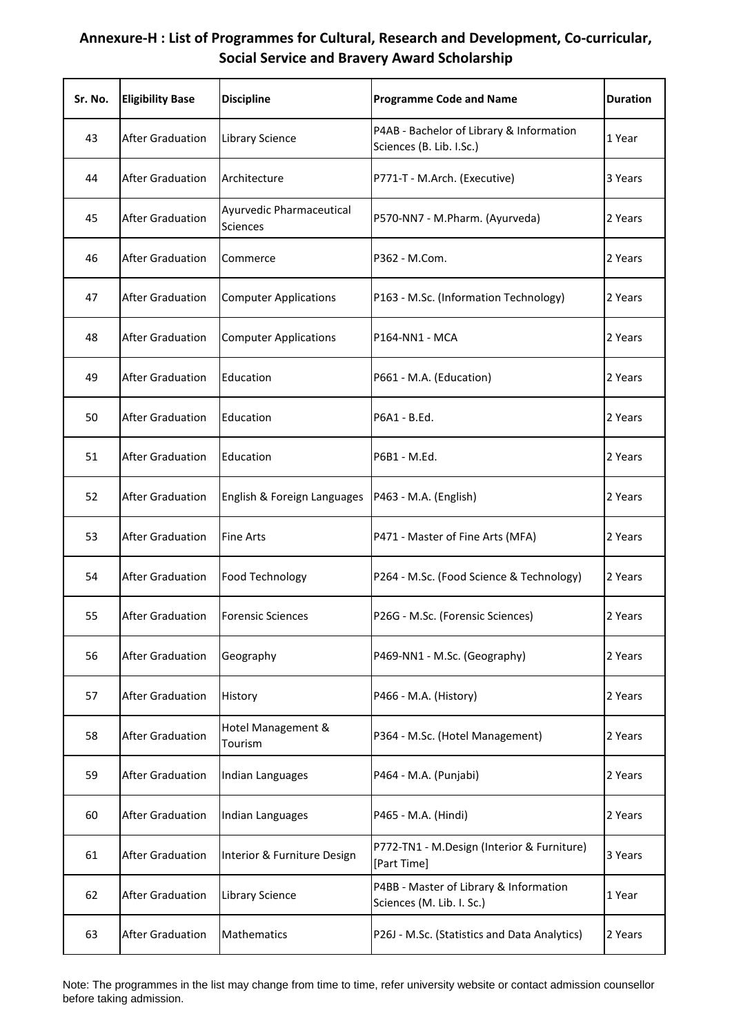| Sr. No. | <b>Eligibility Base</b> | <b>Discipline</b>                           | <b>Programme Code and Name</b>                                       | <b>Duration</b> |
|---------|-------------------------|---------------------------------------------|----------------------------------------------------------------------|-----------------|
| 43      | <b>After Graduation</b> | Library Science                             | P4AB - Bachelor of Library & Information<br>Sciences (B. Lib. I.Sc.) | 1 Year          |
| 44      | <b>After Graduation</b> | Architecture                                | P771-T - M.Arch. (Executive)                                         | 3 Years         |
| 45      | <b>After Graduation</b> | Ayurvedic Pharmaceutical<br><b>Sciences</b> | P570-NN7 - M.Pharm. (Ayurveda)                                       | 2 Years         |
| 46      | <b>After Graduation</b> | Commerce                                    | P362 - M.Com.                                                        | 2 Years         |
| 47      | <b>After Graduation</b> | <b>Computer Applications</b>                | P163 - M.Sc. (Information Technology)                                | 2 Years         |
| 48      | <b>After Graduation</b> | <b>Computer Applications</b>                | P164-NN1 - MCA                                                       | 2 Years         |
| 49      | <b>After Graduation</b> | Education                                   | P661 - M.A. (Education)                                              | 2 Years         |
| 50      | <b>After Graduation</b> | Education                                   | P6A1 - B.Ed.                                                         | 2 Years         |
| 51      | <b>After Graduation</b> | Education                                   | P6B1 - M.Ed.                                                         | 2 Years         |
| 52      | <b>After Graduation</b> | English & Foreign Languages                 | P463 - M.A. (English)                                                | 2 Years         |
| 53      | <b>After Graduation</b> | <b>Fine Arts</b>                            | P471 - Master of Fine Arts (MFA)                                     | 2 Years         |
| 54      | <b>After Graduation</b> | Food Technology                             | P264 - M.Sc. (Food Science & Technology)                             | 2 Years         |
| 55      | <b>After Graduation</b> | <b>Forensic Sciences</b>                    | P26G - M.Sc. (Forensic Sciences)                                     | 2 Years         |
| 56      | <b>After Graduation</b> | Geography                                   | P469-NN1 - M.Sc. (Geography)                                         | 2 Years         |
| 57      | <b>After Graduation</b> | History                                     | P466 - M.A. (History)                                                | 2 Years         |
| 58      | <b>After Graduation</b> | Hotel Management &<br>Tourism               | P364 - M.Sc. (Hotel Management)                                      | 2 Years         |
| 59      | <b>After Graduation</b> | Indian Languages                            | P464 - M.A. (Punjabi)                                                | 2 Years         |
| 60      | <b>After Graduation</b> | Indian Languages                            | P465 - M.A. (Hindi)                                                  | 2 Years         |
| 61      | <b>After Graduation</b> | Interior & Furniture Design                 | P772-TN1 - M.Design (Interior & Furniture)<br>[Part Time]            | 3 Years         |
| 62      | <b>After Graduation</b> | Library Science                             | P4BB - Master of Library & Information<br>Sciences (M. Lib. I. Sc.)  | 1 Year          |
| 63      | <b>After Graduation</b> | Mathematics                                 | P26J - M.Sc. (Statistics and Data Analytics)                         | 2 Years         |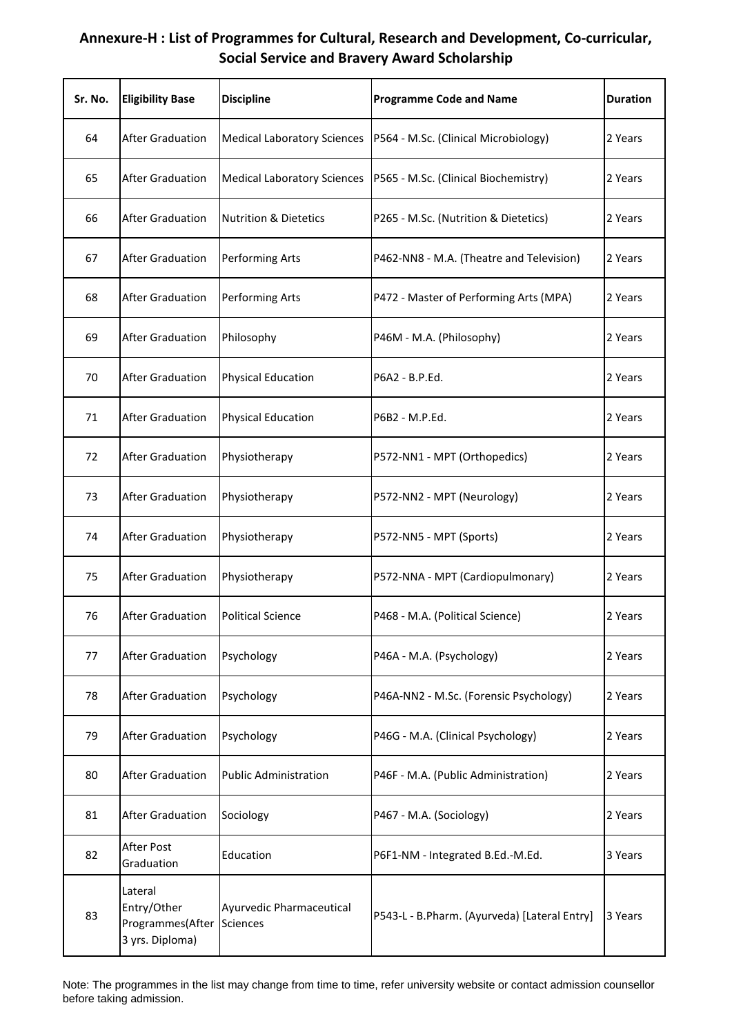| Sr. No. | <b>Eligibility Base</b>                                       | <b>Discipline</b>                           | <b>Programme Code and Name</b>               | <b>Duration</b> |
|---------|---------------------------------------------------------------|---------------------------------------------|----------------------------------------------|-----------------|
| 64      | <b>After Graduation</b>                                       | <b>Medical Laboratory Sciences</b>          | P564 - M.Sc. (Clinical Microbiology)         | 2 Years         |
| 65      | <b>After Graduation</b>                                       | <b>Medical Laboratory Sciences</b>          | P565 - M.Sc. (Clinical Biochemistry)         | 2 Years         |
| 66      | <b>After Graduation</b>                                       | <b>Nutrition &amp; Dietetics</b>            | P265 - M.Sc. (Nutrition & Dietetics)         | 2 Years         |
| 67      | <b>After Graduation</b>                                       | Performing Arts                             | P462-NN8 - M.A. (Theatre and Television)     | 2 Years         |
| 68      | <b>After Graduation</b>                                       | Performing Arts                             | P472 - Master of Performing Arts (MPA)       | 2 Years         |
| 69      | <b>After Graduation</b>                                       | Philosophy                                  | P46M - M.A. (Philosophy)                     | 2 Years         |
| 70      | <b>After Graduation</b>                                       | <b>Physical Education</b>                   | P6A2 - B.P.Ed.                               | 2 Years         |
| 71      | <b>After Graduation</b>                                       | <b>Physical Education</b>                   | P6B2 - M.P.Ed.                               | 2 Years         |
| 72      | <b>After Graduation</b>                                       | Physiotherapy                               | P572-NN1 - MPT (Orthopedics)                 | 2 Years         |
| 73      | <b>After Graduation</b>                                       | Physiotherapy                               | P572-NN2 - MPT (Neurology)                   | 2 Years         |
| 74      | <b>After Graduation</b>                                       | Physiotherapy                               | P572-NN5 - MPT (Sports)                      | 2 Years         |
| 75      | <b>After Graduation</b>                                       | Physiotherapy                               | P572-NNA - MPT (Cardiopulmonary)             | 2 Years         |
| 76      | <b>After Graduation</b>                                       | <b>Political Science</b>                    | P468 - M.A. (Political Science)              | 2 Years         |
| 77      | <b>After Graduation</b>                                       | Psychology                                  | P46A - M.A. (Psychology)                     | 2 Years         |
| 78      | <b>After Graduation</b>                                       | Psychology                                  | P46A-NN2 - M.Sc. (Forensic Psychology)       | 2 Years         |
| 79      | <b>After Graduation</b>                                       | Psychology                                  | P46G - M.A. (Clinical Psychology)            | 2 Years         |
| 80      | <b>After Graduation</b>                                       | <b>Public Administration</b>                | P46F - M.A. (Public Administration)          | 2 Years         |
| 81      | <b>After Graduation</b>                                       | Sociology                                   | P467 - M.A. (Sociology)                      | 2 Years         |
| 82      | After Post<br>Graduation                                      | Education                                   | P6F1-NM - Integrated B.Ed.-M.Ed.             | 3 Years         |
| 83      | Lateral<br>Entry/Other<br>Programmes(After<br>3 yrs. Diploma) | Ayurvedic Pharmaceutical<br><b>Sciences</b> | P543-L - B.Pharm. (Ayurveda) [Lateral Entry] | 3 Years         |

Note: The programmes in the list may change from time to time, refer university website or contact admission counsellor before taking admission.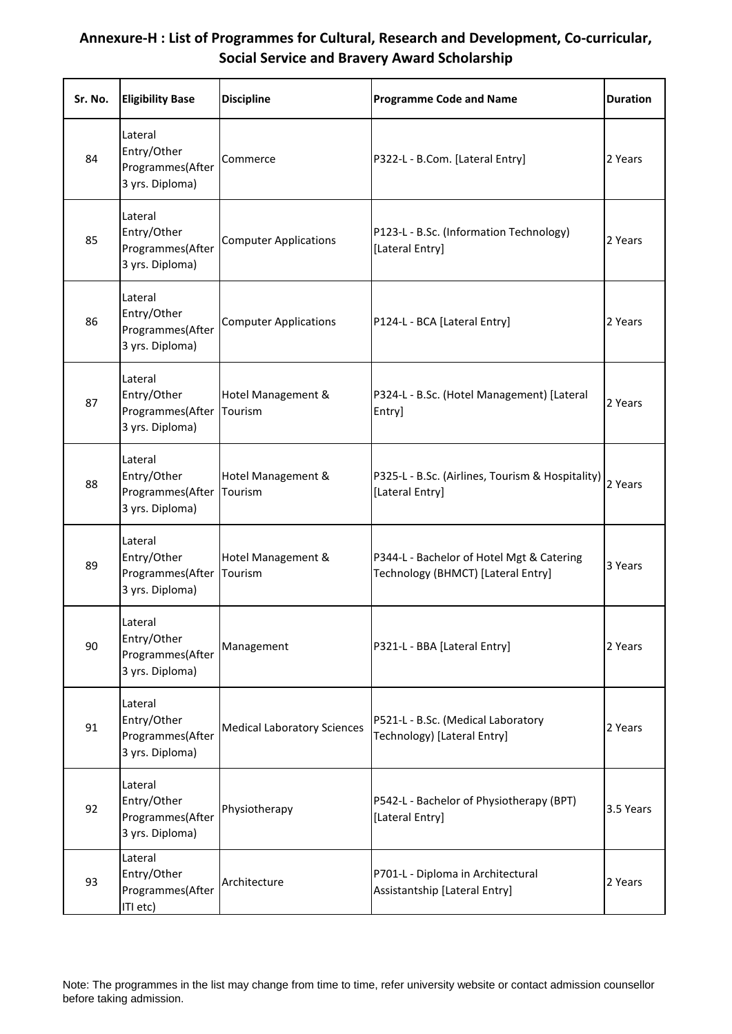| Sr. No. | <b>Eligibility Base</b>                                       | <b>Discipline</b>                  | <b>Programme Code and Name</b>                                                  | <b>Duration</b> |
|---------|---------------------------------------------------------------|------------------------------------|---------------------------------------------------------------------------------|-----------------|
| 84      | Lateral<br>Entry/Other<br>Programmes(After<br>3 yrs. Diploma) | Commerce                           | P322-L - B.Com. [Lateral Entry]                                                 | 2 Years         |
| 85      | Lateral<br>Entry/Other<br>Programmes(After<br>3 yrs. Diploma) | <b>Computer Applications</b>       | P123-L - B.Sc. (Information Technology)<br>[Lateral Entry]                      | 2 Years         |
| 86      | Lateral<br>Entry/Other<br>Programmes(After<br>3 yrs. Diploma) | <b>Computer Applications</b>       | P124-L - BCA [Lateral Entry]                                                    | 2 Years         |
| 87      | Lateral<br>Entry/Other<br>Programmes(After<br>3 yrs. Diploma) | Hotel Management &<br>Tourism      | P324-L - B.Sc. (Hotel Management) [Lateral<br>Entry]                            | 2 Years         |
| 88      | Lateral<br>Entry/Other<br>Programmes(After<br>3 yrs. Diploma) | Hotel Management &<br>Tourism      | P325-L - B.Sc. (Airlines, Tourism & Hospitality)<br>[Lateral Entry]             | 2 Years         |
| 89      | Lateral<br>Entry/Other<br>Programmes(After<br>3 yrs. Diploma) | Hotel Management &<br>Tourism      | P344-L - Bachelor of Hotel Mgt & Catering<br>Technology (BHMCT) [Lateral Entry] | 3 Years         |
| 90      | Lateral<br>Entry/Other<br>Programmes(After<br>3 yrs. Diploma) | Management                         | P321-L - BBA [Lateral Entry]                                                    | 2 Years         |
| 91      | Lateral<br>Entry/Other<br>Programmes(After<br>3 yrs. Diploma) | <b>Medical Laboratory Sciences</b> | P521-L - B.Sc. (Medical Laboratory<br>Technology) [Lateral Entry]               | 2 Years         |
| 92      | Lateral<br>Entry/Other<br>Programmes(After<br>3 yrs. Diploma) | Physiotherapy                      | P542-L - Bachelor of Physiotherapy (BPT)<br>[Lateral Entry]                     | 3.5 Years       |
| 93      | Lateral<br>Entry/Other<br>Programmes(After<br>ITI etc)        | Architecture                       | P701-L - Diploma in Architectural<br>Assistantship [Lateral Entry]              | 2 Years         |